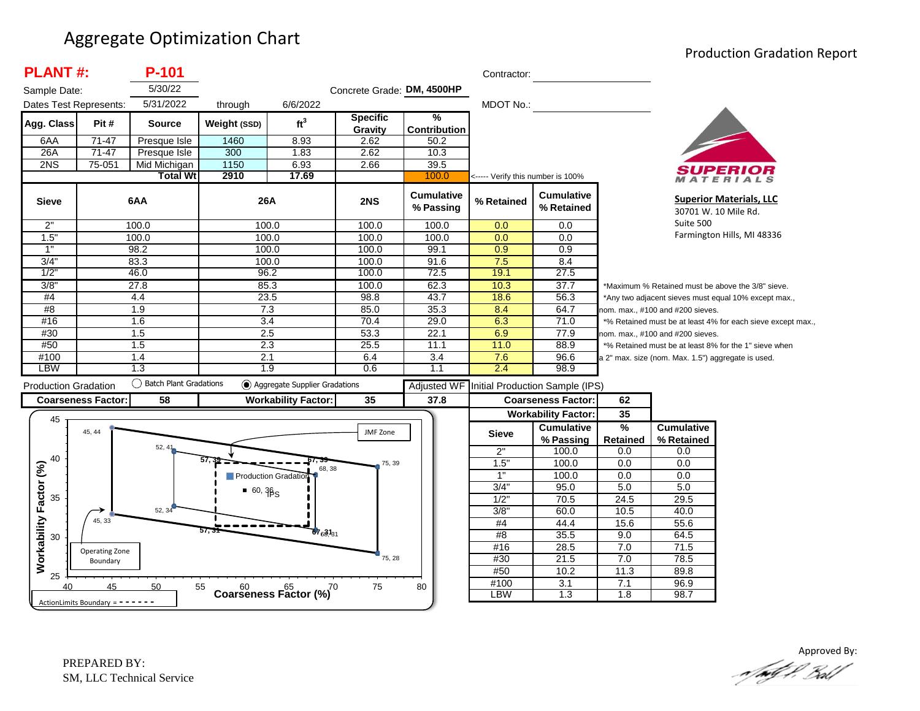#### Aggregate Optimization Chart

#### Production Gradation Report

| <b>PLANT#:</b>              |                            | P-101                     |              |                                                   |                            |                                | Contractor:                       |                                 |               |                                                      |                                                             |
|-----------------------------|----------------------------|---------------------------|--------------|---------------------------------------------------|----------------------------|--------------------------------|-----------------------------------|---------------------------------|---------------|------------------------------------------------------|-------------------------------------------------------------|
| Sample Date:                |                            | 5/30/22                   |              |                                                   | Concrete Grade: DM, 4500HP |                                |                                   |                                 |               |                                                      |                                                             |
| Dates Test Represents:      |                            | 5/31/2022                 | through      | 6/6/2022                                          |                            |                                | <b>MDOT No.:</b>                  |                                 |               |                                                      |                                                             |
| Agg. Class                  | Pit#                       | Source                    | Weight (SSD) | ft <sup>3</sup>                                   | <b>Specific</b><br>Gravity | ℅<br>Contribution              |                                   |                                 |               |                                                      |                                                             |
| 6AA                         | $71-47$                    | Presque Isle              | 1460         | 8.93                                              | 2.62                       | 50.2                           |                                   |                                 |               |                                                      |                                                             |
| 26A                         | 71-47                      | Presque Isle              | 300          | 1.83                                              | 2.62                       | 10.3                           |                                   |                                 |               |                                                      |                                                             |
| 2NS                         | 75-051                     | Mid Michigan              | 1150         | 6.93                                              | 2.66                       | 39.5                           |                                   |                                 |               |                                                      |                                                             |
|                             |                            | <b>Total Wt</b>           | 2910         | 17.69                                             |                            | 100.0                          | <----- Verify this number is 100% |                                 |               |                                                      | TERIALS                                                     |
| <b>Sieve</b>                |                            | 6AA                       | 26A          |                                                   | 2NS                        | <b>Cumulative</b><br>% Passing | % Retained                        | <b>Cumulative</b><br>% Retained |               |                                                      | <b>Superior Materials, LLC</b><br>30701 W. 10 Mile Rd.      |
| 2"                          |                            | 100.0                     | 100.0        |                                                   | 100.0                      | 100.0                          | 0.0                               | 0.0                             | Suite 500     |                                                      |                                                             |
| 1.5"                        |                            | 100.0                     | 100.0        |                                                   | 100.0                      | 100.0                          | 0.0                               | 0.0                             |               |                                                      | Farmington Hills, MI 48336                                  |
| 1"                          |                            | 98.2                      | 100.0        |                                                   | 100.0                      | 99.1                           | 0.9                               | 0.9                             |               |                                                      |                                                             |
| 3/4"                        |                            | 83.3                      | 100.0        |                                                   | 100.0                      | 91.6                           | 7.5                               | 8.4                             |               |                                                      |                                                             |
| 1/2                         |                            | 46.0                      | 96.2         |                                                   | 100.0                      | 72.5                           | 19.1                              | 27.5                            |               |                                                      |                                                             |
| 3/8'                        |                            | 27.8                      | 85.3         |                                                   | 100.0                      | 62.3                           | 10.3                              | 37.7                            |               |                                                      | *Maximum % Retained must be above the 3/8" sieve.           |
| #4                          |                            | 4.4                       | 23.5         |                                                   | 98.8                       | 43.7                           | 18.6                              | 56.3                            |               | *Any two adjacent sieves must equal 10% except max., |                                                             |
| #8                          |                            | 1.9                       | 7.3          |                                                   | 85.0                       | 35.3                           | 8.4                               | 64.7                            |               | nom. max., #100 and #200 sieves.                     |                                                             |
| #16                         |                            | 1.6                       | 3.4          |                                                   | 70.4                       | 29.0                           | 6.3                               | 71.0                            |               |                                                      | *% Retained must be at least 4% for each sieve except max., |
| #30                         |                            | 1.5                       | 2.5          |                                                   | 53.3                       | 22.1                           | 6.9                               | 77.9                            |               | nom. max., #100 and #200 sieves.                     |                                                             |
| #50                         |                            | 1.5                       | 2.3          |                                                   | 25.5                       | 11.1                           | 11.0                              | 88.9                            |               |                                                      | *% Retained must be at least 8% for the 1" sieve when       |
| #100                        |                            | 1.4                       | 2.1          |                                                   | 6.4                        | 3.4                            | 7.6                               | 96.6                            |               | a 2" max. size (nom. Max. 1.5") aggregate is used.   |                                                             |
| <b>LBW</b>                  |                            | 1.3                       | 1.9          |                                                   | 0.6                        | 1.1                            | 2.4                               | 98.9                            |               |                                                      |                                                             |
| <b>Production Gradation</b> |                            | () Batch Plant Gradations |              | Aggregate Supplier Gradations                     |                            | <b>Adjusted WF</b>             |                                   | Initial Production Sample (IPS) |               |                                                      |                                                             |
|                             |                            |                           |              | <b>Workability Factor:</b>                        | 35                         | 37.8                           |                                   |                                 | 62            |                                                      |                                                             |
|                             |                            | 58                        |              |                                                   |                            |                                |                                   | <b>Coarseness Factor:</b>       |               |                                                      |                                                             |
| <b>Coarseness Factor:</b>   |                            |                           |              |                                                   |                            |                                |                                   |                                 |               |                                                      |                                                             |
| 45                          |                            |                           |              |                                                   |                            |                                |                                   | <b>Workability Factor:</b>      | 35            |                                                      |                                                             |
|                             | 45, 44                     |                           |              |                                                   | JMF Zone                   |                                | <b>Sieve</b>                      | <b>Cumulative</b>               | $\frac{9}{6}$ | <b>Cumulative</b>                                    |                                                             |
|                             |                            | 52, 41                    |              |                                                   |                            |                                |                                   | % Passing                       | Retained      | % Retained                                           |                                                             |
| 40                          |                            |                           |              |                                                   | 75, 39                     |                                | 2"                                | 100.0                           | 0.0<br>0.0    | 0.0                                                  |                                                             |
|                             |                            |                           |              | 68, 38                                            |                            |                                | 1.5"                              | 100.0                           |               | 0.0                                                  |                                                             |
|                             |                            |                           |              | Production Gradation                              |                            |                                | $\overline{1}$                    | 100.0                           | 0.0           | 0.0                                                  |                                                             |
| 35                          |                            |                           | $-60,36S$    |                                                   |                            |                                | 3/4"                              | 95.0                            | 5.0           | 5.0                                                  |                                                             |
|                             |                            | 52, 34                    |              |                                                   |                            |                                | $1/2$ "<br>3/8"                   | 70.5<br>60.0                    | 24.5<br>10.5  | 29.5<br>40.0                                         |                                                             |
|                             | 45, 33                     |                           |              |                                                   |                            |                                | #4                                |                                 | 15.6          | 55.6                                                 |                                                             |
| 30                          |                            |                           | 57. .        | $67_{6}31_{31}$                                   |                            |                                | #8                                | 44.4<br>35.5                    | 9.0           | 64.5                                                 |                                                             |
|                             |                            |                           |              |                                                   |                            |                                | #16                               | 28.5                            | 7.0           | 71.5                                                 |                                                             |
|                             | Operating Zone<br>Boundary |                           |              |                                                   | 75, 28                     |                                | #30                               | 21.5                            | 7.0           | 78.5                                                 |                                                             |
| Workability Factor (%)      |                            |                           |              |                                                   |                            |                                | #50                               | 10.2                            | 11.3          | 89.8                                                 |                                                             |
| 25<br>40                    | 45                         | 50                        | 55           | $60$ $65$ $65$ $(%)$ $70$ Coarseness Factor $(%)$ | 75                         | 80                             | #100<br><b>LBW</b>                | 3.1                             | 7.1           | 96.9                                                 |                                                             |

Approved By:<br>Approved By: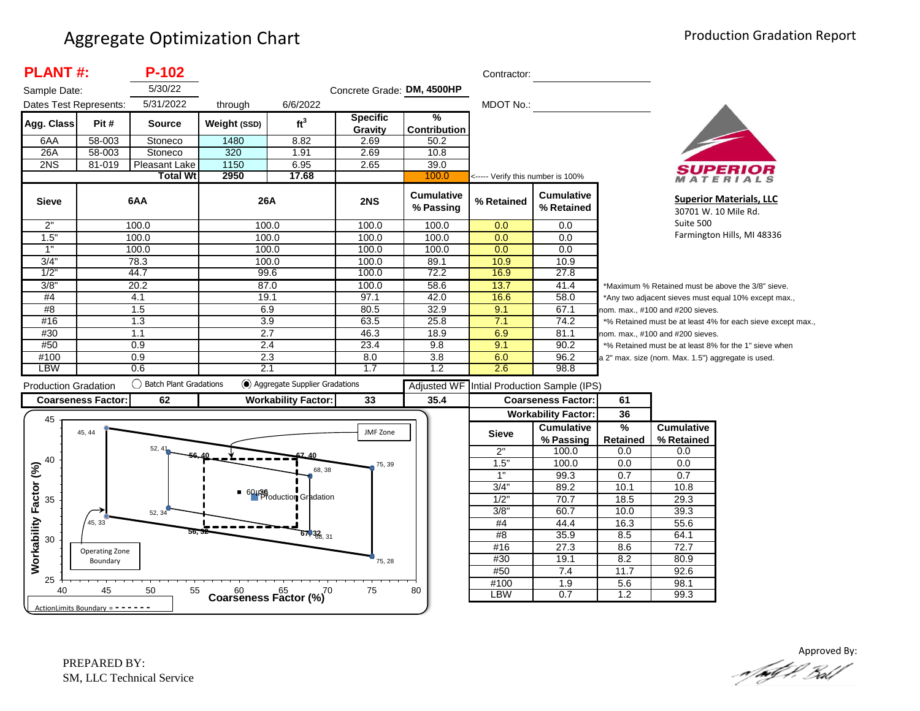| <b>PLANT#:</b>              |                           | $P-102$                  |                                         |                               |                            |                                      | Contractor:                       |                                                              |                                                             |                                                      |                                                       |
|-----------------------------|---------------------------|--------------------------|-----------------------------------------|-------------------------------|----------------------------|--------------------------------------|-----------------------------------|--------------------------------------------------------------|-------------------------------------------------------------|------------------------------------------------------|-------------------------------------------------------|
| Sample Date:                |                           | 5/30/22                  |                                         |                               | Concrete Grade: DM, 4500HP |                                      |                                   |                                                              |                                                             |                                                      |                                                       |
| Dates Test Represents:      |                           | 5/31/2022                | through                                 | 6/6/2022                      |                            |                                      | MDOT No.:                         |                                                              |                                                             |                                                      |                                                       |
| Agg. Class                  | Pit #                     | <b>Source</b>            | Weight (SSD)                            | ft <sup>3</sup>               | <b>Specific</b><br>Gravity | $\frac{9}{6}$<br><b>Contribution</b> |                                   |                                                              |                                                             |                                                      |                                                       |
| 6AA                         | 58-003                    | Stoneco                  | 1480                                    | 8.82                          | 2.69                       | 50.2                                 |                                   |                                                              |                                                             |                                                      |                                                       |
| 26A                         | 58-003                    | Stoneco                  | 320                                     | 1.91                          | 2.69                       | 10.8                                 |                                   |                                                              |                                                             |                                                      |                                                       |
| 2NS                         | 81-019                    | Pleasant Lake            | 1150                                    | 6.95                          | 2.65                       | 39.0                                 |                                   |                                                              |                                                             |                                                      |                                                       |
|                             |                           | <b>Total Wt</b>          | 2950                                    | 17.68                         |                            | 100.0                                | <----- Verify this number is 100% |                                                              |                                                             |                                                      | <b>ATERIALS</b>                                       |
| <b>Sieve</b>                |                           | 6AA                      | 26A                                     |                               | 2NS                        | <b>Cumulative</b><br>% Passing       | % Retained                        | <b>Cumulative</b><br>% Retained                              |                                                             | 30701 W. 10 Mile Rd.                                 | <b>Superior Materials, LLC</b>                        |
| 2"                          |                           | 100.0                    | 100.0                                   |                               | 100.0                      | 100.0                                | 0.0                               | 0.0                                                          |                                                             |                                                      |                                                       |
| 1.5"                        |                           | 100.0                    | 100.0                                   |                               | 100.0                      | 100.0                                | 0.0                               | 0.0                                                          |                                                             |                                                      | Farmington Hills, MI 48336                            |
| 1"                          |                           | 100.0                    | 100.0                                   |                               | 100.0                      | 100.0                                | 0.0                               | 0.0                                                          |                                                             |                                                      |                                                       |
| 3/4"                        |                           | 78.3                     | 100.0                                   |                               | 100.0                      | 89.1                                 | 10.9                              | 10.9                                                         |                                                             |                                                      |                                                       |
| 1/2                         |                           | 44.7                     | 99.6                                    |                               | 100.0                      | 72.2                                 | 16.9                              | 27.8                                                         |                                                             |                                                      |                                                       |
| 3/8'                        |                           | 20.2                     | 87.0                                    |                               | 100.0                      | 58.6                                 | 13.7                              | 41.4                                                         |                                                             | *Maximum % Retained must be above the 3/8" sieve.    |                                                       |
| #4                          |                           | 4.1                      | 19.1                                    |                               | 97.1                       | 42.0                                 | 16.6                              | 58.0                                                         |                                                             | *Any two adjacent sieves must equal 10% except max., |                                                       |
| #8                          |                           | 1.5                      | 6.9                                     |                               | 80.5                       | 32.9                                 | 9.1                               | 67.1                                                         | nom. max., #100 and #200 sieves.                            |                                                      |                                                       |
| #16                         |                           | 1.3                      | 3.9                                     |                               | 63.5                       | 25.8                                 | 7.1                               | 74.2                                                         | *% Retained must be at least 4% for each sieve except max., |                                                      |                                                       |
| #30                         |                           | 1.1                      | 2.7                                     |                               | 46.3                       | 18.9                                 | 6.9                               | 81.1                                                         |                                                             | nom. max., #100 and #200 sieves.                     |                                                       |
| #50                         |                           | 0.9                      | 2.4                                     |                               | 23.4                       | 9.8                                  | 9.1                               | 90.2                                                         |                                                             |                                                      | *% Retained must be at least 8% for the 1" sieve when |
| #100                        |                           | 0.9                      | 2.3                                     |                               | 8.0                        | 3.8                                  | 6.0                               | 96.2                                                         |                                                             | a 2" max. size (nom. Max. 1.5") aggregate is used.   |                                                       |
| <b>LBW</b>                  |                           | 0.6                      | 2.1                                     |                               | 1.7                        | 1.2                                  | 2.6                               | 98.8                                                         |                                                             |                                                      |                                                       |
|                             |                           |                          |                                         |                               |                            |                                      |                                   |                                                              |                                                             |                                                      |                                                       |
|                             |                           | ◯ Batch Plant Gradations |                                         | Aggregate Supplier Gradations |                            |                                      |                                   |                                                              |                                                             |                                                      |                                                       |
|                             |                           |                          |                                         |                               |                            | <b>Adjusted WF</b>                   |                                   | Intial Production Sample (IPS)                               |                                                             |                                                      |                                                       |
| <b>Production Gradation</b> | <b>Coarseness Factor:</b> | 62                       |                                         | <b>Workability Factor:</b>    | 33                         | 35.4                                 |                                   | <b>Coarseness Factor:</b>                                    | 61                                                          |                                                      |                                                       |
| 45                          | 45, 44                    |                          |                                         |                               | JMF Zone                   |                                      | <b>Sieve</b>                      | <b>Workability Factor:</b><br><b>Cumulative</b><br>% Passing | 36<br>$\frac{9}{6}$<br><b>Retained</b>                      | <b>Cumulative</b><br>% Retained                      |                                                       |
|                             |                           | 52, 41                   |                                         |                               |                            |                                      | 2"                                | 100.0                                                        | 0.0                                                         | 0.0                                                  |                                                       |
| 40                          |                           |                          |                                         |                               | 75, 39                     |                                      | 1.5"                              | 100.0                                                        | 0.0                                                         | 0.0                                                  |                                                       |
|                             |                           |                          |                                         | 68, 38                        |                            |                                      | 1"                                | 99.3                                                         | 0.7                                                         | 0.7                                                  |                                                       |
|                             |                           |                          |                                         |                               |                            |                                      | 3/4"                              | 89.2                                                         | 10.1                                                        | 10.8                                                 |                                                       |
| 35                          |                           |                          |                                         | 601BS<br>Production Gradation |                            |                                      | 1/2                               | 70.7                                                         | 18.5                                                        | 29.3                                                 |                                                       |
|                             |                           | 52, 34                   |                                         |                               |                            |                                      | 3/8                               | 60.7                                                         | 10.0                                                        | 39.3                                                 |                                                       |
|                             | 45, 33                    |                          |                                         |                               |                            |                                      | #4                                | 44.4                                                         | 16.3                                                        | 55.6                                                 |                                                       |
| 30                          |                           | 56. 3                    |                                         | $67,32$ <sub>6, 31</sub>      |                            |                                      | #8                                | 35.9                                                         | 8.5                                                         | 64.1                                                 |                                                       |
|                             | Operating Zone            |                          |                                         |                               |                            |                                      | #16                               | 27.3                                                         | 8.6                                                         | 72.7                                                 |                                                       |
|                             | Boundary                  |                          |                                         |                               | 75, 28                     |                                      | #30                               | 19.1                                                         | 8.2                                                         | 80.9                                                 |                                                       |
| Workability Factor (%)      |                           |                          |                                         |                               |                            |                                      | #50                               | 7.4                                                          | 11.7                                                        | 92.6                                                 |                                                       |
| 25<br>40                    | 45                        | 50<br>55                 | $60$ $65$ $65$ Coarseness Factor $(\%)$ |                               | 75                         | 80                                   | #100<br><b>LBW</b>                | $\overline{1.9}$<br>0.7                                      | 5.6<br>1.2                                                  | 98.1<br>99.3                                         |                                                       |

Approved By: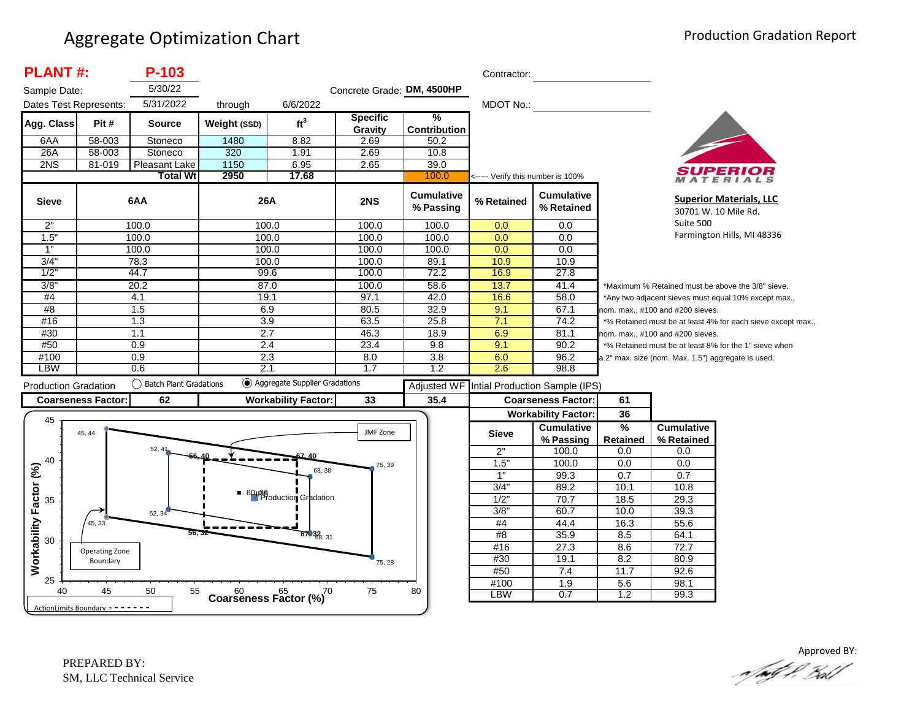| <b>PLANT#:</b>               |                                     | P-103                     |                  |                                              |                            |                                | Contractor:                       |                                 |                                  |                                                    |                                                             |  |
|------------------------------|-------------------------------------|---------------------------|------------------|----------------------------------------------|----------------------------|--------------------------------|-----------------------------------|---------------------------------|----------------------------------|----------------------------------------------------|-------------------------------------------------------------|--|
| Sample Date:                 |                                     | 5/30/22                   |                  |                                              | Concrete Grade: DM, 4500HP |                                |                                   |                                 |                                  |                                                    |                                                             |  |
| Dates Test Represents:       |                                     | 5/31/2022                 | through          | 6/6/2022                                     |                            |                                | MDOT No.:                         |                                 |                                  |                                                    |                                                             |  |
| Agg. Class                   | Pit#                                | <b>Source</b>             | Weight (SSD)     | ft <sup>3</sup>                              | <b>Specific</b><br>Gravity | %<br><b>Contribution</b>       |                                   |                                 |                                  |                                                    |                                                             |  |
| 6AA                          | 58-003                              | Stoneco                   | 1480             | 8.82                                         | 2.69                       | 50.2                           |                                   |                                 |                                  |                                                    |                                                             |  |
| 26A                          | 58-003                              | Stoneco                   | 320              | 1.91                                         | 2.69                       | 10.8                           |                                   |                                 |                                  |                                                    |                                                             |  |
| 2NS                          | 81-019                              | Pleasant Lake             | 1150             | 6.95                                         | 2.65                       | 39.0                           |                                   |                                 |                                  |                                                    |                                                             |  |
|                              |                                     | <b>Total Wt</b>           | 2950             | 17.68                                        |                            | 100.0                          | <----- Verify this number is 100% |                                 |                                  |                                                    | ATERIALS                                                    |  |
| <b>Sieve</b>                 |                                     | 6AA                       | 26A              |                                              | 2NS                        | <b>Cumulative</b><br>% Passing | % Retained                        | <b>Cumulative</b><br>% Retained |                                  |                                                    | <b>Superior Materials, LLC</b><br>30701 W. 10 Mile Rd.      |  |
| 2"                           |                                     | 100.0                     | 100.0            |                                              | 100.0                      | 100.0                          | 0.0                               | 0.0                             |                                  | Suite 500                                          |                                                             |  |
| 1.5"                         |                                     | 100.0                     | 100.0            |                                              | 100.0                      | 100.0                          | 0.0                               | 0.0                             |                                  |                                                    | Farmington Hills, MI 48336                                  |  |
| 1"                           |                                     | 100.0                     | 100.0            |                                              | 100.0                      | 100.0                          | 0.0                               | 0.0                             |                                  |                                                    |                                                             |  |
| 3/4"                         |                                     | 78.3                      | 100.0            |                                              | 100.0                      | 89.1                           | 10.9                              | 10.9                            |                                  |                                                    |                                                             |  |
| 1/2                          |                                     | 44.7                      | 99.6             |                                              | 100.0                      | 72.2                           | 16.9                              | 27.8                            |                                  |                                                    |                                                             |  |
| 3/8"                         |                                     | 20.2                      |                  | 87.0                                         | 100.0                      | 58.6                           | 13.7                              | 41.4                            |                                  |                                                    | *Maximum % Retained must be above the 3/8" sieve.           |  |
| #4                           |                                     | 4.1                       | 19.1             |                                              | 97.1                       | 42.0                           | 16.6                              | 58.0                            |                                  |                                                    | *Any two adjacent sieves must equal 10% except max.,        |  |
| #8                           |                                     | 1.5                       | 6.9              |                                              | 80.5                       | 32.9                           | 9.1                               | 67.1                            | nom. max., #100 and #200 sieves. |                                                    |                                                             |  |
| #16                          |                                     | 1.3                       | 3.9              |                                              | 63.5                       | 25.8                           | 7.1                               | 74.2                            |                                  |                                                    | *% Retained must be at least 4% for each sieve except max., |  |
| #30                          |                                     | 1.1                       | $\overline{2.7}$ |                                              | 46.3                       | 18.9                           | 6.9                               | 81.1                            |                                  | nom. max., #100 and #200 sieves.                   |                                                             |  |
| #50                          |                                     | 0.9                       | 2.4              |                                              | 23.4                       | 9.8                            | 9.1                               | 90.2                            |                                  |                                                    | *% Retained must be at least 8% for the 1" sieve when       |  |
| #100                         |                                     | 0.9                       | 2.3              |                                              | 8.0                        | 3.8                            | 6.0                               | 96.2                            |                                  | a 2" max. size (nom. Max. 1.5") aggregate is used. |                                                             |  |
| <b>LBW</b>                   |                                     | 0.6                       | 2.1              |                                              | 1.7                        | 1.2                            | 2.6                               | 98.8                            |                                  |                                                    |                                                             |  |
| <b>Production Gradation</b>  |                                     | () Batch Plant Gradations |                  | (c) Aggregate Supplier Gradations            |                            | <b>Adjusted WF</b>             |                                   | Intial Production Sample (IPS)  |                                  |                                                    |                                                             |  |
|                              | <b>Coarseness Factor:</b>           | 62                        |                  | <b>Workability Factor:</b>                   | 33                         | 35.4                           |                                   | <b>Coarseness Factor:</b>       | 61                               |                                                    |                                                             |  |
|                              |                                     |                           |                  |                                              |                            |                                |                                   | <b>Workability Factor:</b>      | 36                               |                                                    |                                                             |  |
| 45                           |                                     |                           |                  |                                              |                            |                                |                                   | <b>Cumulative</b>               | %                                | <b>Cumulative</b>                                  |                                                             |  |
|                              | 45, 44                              |                           |                  |                                              | JMF Zone                   |                                | <b>Sieve</b>                      | % Passing                       | <b>Retained</b>                  | % Retained                                         |                                                             |  |
|                              |                                     | 52, 41                    |                  |                                              |                            |                                | 2"                                | 100.0                           | 0.0                              | 0.0                                                |                                                             |  |
| 40                           |                                     |                           |                  |                                              | 75, 39                     |                                | 1.5"                              | 100.0                           | 0.0                              | 0.0                                                |                                                             |  |
|                              |                                     |                           |                  | 68, 38                                       |                            |                                | 1"                                | 99.3                            | 0.7                              | 0.7                                                |                                                             |  |
|                              |                                     |                           |                  |                                              |                            |                                | 3/4"                              | 89.2                            | 10.1                             | 10.8                                               |                                                             |  |
| 35                           |                                     |                           |                  | 60136<br>Production Gradation                |                            |                                | $1/2$ "                           | 70.7                            | 18.5                             | 29.3                                               |                                                             |  |
|                              |                                     | 52, 34                    |                  |                                              |                            |                                | 3/8"                              | 60.7                            | 10.0                             | 39.3                                               |                                                             |  |
|                              | 45, 33                              |                           |                  |                                              |                            |                                | $\#4$                             | 44.4                            | 16.3                             | 55.6                                               |                                                             |  |
| Workability Factor (%)<br>30 |                                     |                           |                  | $67,32_{8,31}$                               |                            |                                | #8                                | 35.9                            | 8.5                              | 64.1                                               |                                                             |  |
|                              | Operating Zone                      |                           |                  |                                              |                            |                                | #16                               | 27.3                            | 8.6                              | 72.7                                               |                                                             |  |
|                              | Boundary                            |                           |                  |                                              | 75, 28                     |                                | #30                               | 19.1                            | 8.2                              | 80.9                                               |                                                             |  |
|                              |                                     |                           |                  |                                              |                            |                                | #50                               | 7.4                             | 11.7                             | 92.6                                               |                                                             |  |
| 25                           |                                     |                           |                  |                                              |                            |                                | #100                              | $\overline{1.9}$                | 5.6                              | 98.1                                               |                                                             |  |
| 40                           | 45                                  | 50<br>55                  |                  | $60$ $65$ $65$ $70$<br>Coarseness Factor (%) | 75                         | 80                             | LBW                               | 0.7                             | 1.2                              | 99.3                                               |                                                             |  |
|                              | ActionLimits Boundary = $- - - - -$ |                           |                  |                                              |                            |                                |                                   |                                 |                                  |                                                    |                                                             |  |

Approved BY:<br>And of Proof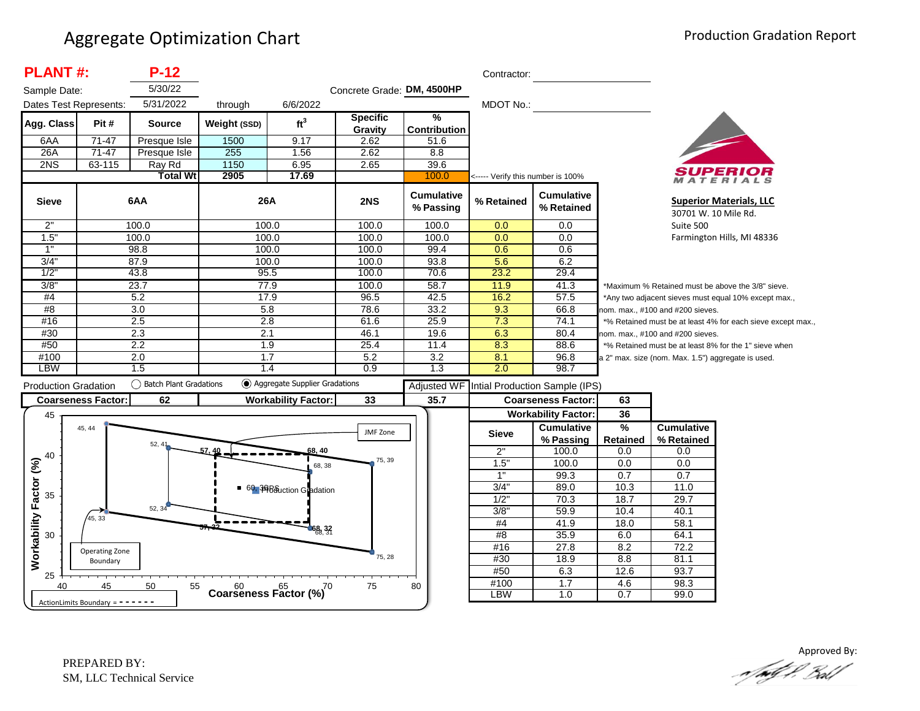| 5/30/22<br>Concrete Grade: DM, 4500HP<br>Sample Date:<br>5/31/2022<br>MDOT No.:<br>Dates Test Represents:<br>6/6/2022<br>through<br>$\frac{9}{6}$<br><b>Specific</b><br>ft <sup>3</sup><br>Pit#<br>Agg. Class<br>Weight (SSD)<br><b>Source</b><br><b>Contribution</b><br>Gravity<br>$71-47$<br>1500<br>9.17<br>2.62<br>6AA<br>51.6<br>Presque Isle<br>255<br>26A<br>$71-47$<br>1.56<br>2.62<br>8.8<br>Presque Isle<br>2NS<br>63-115<br>1150<br>6.95<br>39.6<br>Ray Rd<br>2.65<br>2905<br>17.69<br><b>Total Wt</b><br>100.0<br><----- Verify this number is 100%<br>MATERIALS<br><b>Cumulative</b><br><b>Cumulative</b><br>26A<br>6AA<br>2NS<br>% Retained<br><b>Sieve</b><br><b>Superior Materials, LLC</b><br>% Passing<br>% Retained<br>30701 W. 10 Mile Rd.<br>2"<br>100.0<br>100.0<br>100.0<br>100.0<br>$\overline{0.0}$<br>0.0<br>Suite 500<br>1.5"<br>100.0<br>100.0<br>100.0<br>0.0<br>0.0<br>100.0<br>Farmington Hills, MI 48336<br>1"<br>100.0<br>99.4<br>98.8<br>100.0<br>0.6<br>0.6<br>3/4"<br>5.6<br>6.2<br>87.9<br>100.0<br>100.0<br>93.8<br>1/2"<br>23.2<br>29.4<br>43.8<br>95.5<br>100.0<br>70.6<br>3/8<br>23.7<br>77.9<br>100.0<br>58.7<br>11.9<br>41.3<br>*Maximum % Retained must be above the 3/8" sieve.<br>#4<br>42.5<br>16.2<br>57.5<br>5.2<br>17.9<br>96.5<br>*Any two adjacent sieves must equal 10% except max.,<br>#8<br>3.0<br>5.8<br>78.6<br>33.2<br>9.3<br>66.8<br>nom. max., #100 and #200 sieves.<br>2.5<br>25.9<br>#16<br>2.8<br>61.6<br>7.3<br>74.1<br>*% Retained must be at least 4% for each sieve except max.,<br>#30<br>2.3<br>19.6<br>2.1<br>46.1<br>6.3<br>80.4<br>nom. max., #100 and #200 sieves.<br>8.3<br>#50<br>2.2<br>1.9<br>25.4<br>11.4<br>88.6<br>*% Retained must be at least 8% for the 1" sieve when<br>#100<br>2.0<br>3.2<br>8.1<br>1.7<br>5.2<br>96.8<br>a 2" max. size (nom. Max. 1.5") aggregate is used.<br>LBW<br>1.5<br>0.9<br>2.0<br>98.7<br>1.4<br>1.3<br>◯ Aggregate Supplier Gradations<br>() Batch Plant Gradations<br><b>Production Gradation</b><br>Adjusted WF Intial Production Sample (IPS)<br>62<br>33<br>35.7<br>63<br><b>Coarseness Factor:</b><br><b>Workability Factor:</b><br><b>Coarseness Factor:</b><br>36<br><b>Workability Factor:</b><br>45<br>$\frac{1}{2}$<br><b>Cumulative</b><br><b>Cumulative</b><br>45, 44<br>JMF Zone<br><b>Sieve</b><br><b>Retained</b><br>% Retained<br>% Passing<br>52, 41<br>57.40<br>2"<br>100.0<br>0.0<br>68, 40<br>0.0<br>75, 39<br>Workability Factor (%)<br>1.5"<br>100.0<br>0.0<br>0.0<br>68, 38<br>1"<br>0.7<br>99.3<br>0.7<br>3/4"<br>89.0<br>10.3<br>11.0<br>60, <sup>36</sup> Bouction Gradation<br>35<br>$1/2$ "<br>70.3<br>18.7<br>29.7<br>52, 34<br>3/8"<br>59.9<br>10.4<br>40.1<br>45, 33<br>#4<br>41.9<br>18.0<br>58.1<br>68, 32<br>35.9<br>#8<br>6.0<br>64.1<br>30<br>27.8<br>8.2<br>72.2<br>#16<br>Operating Zone<br>75, 28<br>#30<br>18.9<br>8.8<br>81.1<br>Boundary<br>#50<br>12.6<br>93.7<br>6.3<br>25<br>#100<br>1.7<br>4.6<br>98.3<br>45<br>50<br>55<br>75<br>80<br>40<br>Coarseness Factor $\binom{60}{6}$ 70<br><b>LBW</b><br>1.0<br>0.7<br>99.0<br>ActionLimits Boundary = $- - - - -$ | <b>PLANT#:</b> | $P-12$ |  |  |  | Contractor: |  |  |  |
|-----------------------------------------------------------------------------------------------------------------------------------------------------------------------------------------------------------------------------------------------------------------------------------------------------------------------------------------------------------------------------------------------------------------------------------------------------------------------------------------------------------------------------------------------------------------------------------------------------------------------------------------------------------------------------------------------------------------------------------------------------------------------------------------------------------------------------------------------------------------------------------------------------------------------------------------------------------------------------------------------------------------------------------------------------------------------------------------------------------------------------------------------------------------------------------------------------------------------------------------------------------------------------------------------------------------------------------------------------------------------------------------------------------------------------------------------------------------------------------------------------------------------------------------------------------------------------------------------------------------------------------------------------------------------------------------------------------------------------------------------------------------------------------------------------------------------------------------------------------------------------------------------------------------------------------------------------------------------------------------------------------------------------------------------------------------------------------------------------------------------------------------------------------------------------------------------------------------------------------------------------------------------------------------------------------------------------------------------------------------------------------------------------------------------------------------------------------------------------------------------------------------------------------------------------------------------------------------------------------------------------------------------------------------------------------------------------------------------------------------------------------------------------------------------------------------------------------------------------------------------------------------------------------------------------------------------------------------------------------------------------------------------------------------------------------------------------------------------------------------------------|----------------|--------|--|--|--|-------------|--|--|--|
|                                                                                                                                                                                                                                                                                                                                                                                                                                                                                                                                                                                                                                                                                                                                                                                                                                                                                                                                                                                                                                                                                                                                                                                                                                                                                                                                                                                                                                                                                                                                                                                                                                                                                                                                                                                                                                                                                                                                                                                                                                                                                                                                                                                                                                                                                                                                                                                                                                                                                                                                                                                                                                                                                                                                                                                                                                                                                                                                                                                                                                                                                                                             |                |        |  |  |  |             |  |  |  |
|                                                                                                                                                                                                                                                                                                                                                                                                                                                                                                                                                                                                                                                                                                                                                                                                                                                                                                                                                                                                                                                                                                                                                                                                                                                                                                                                                                                                                                                                                                                                                                                                                                                                                                                                                                                                                                                                                                                                                                                                                                                                                                                                                                                                                                                                                                                                                                                                                                                                                                                                                                                                                                                                                                                                                                                                                                                                                                                                                                                                                                                                                                                             |                |        |  |  |  |             |  |  |  |
|                                                                                                                                                                                                                                                                                                                                                                                                                                                                                                                                                                                                                                                                                                                                                                                                                                                                                                                                                                                                                                                                                                                                                                                                                                                                                                                                                                                                                                                                                                                                                                                                                                                                                                                                                                                                                                                                                                                                                                                                                                                                                                                                                                                                                                                                                                                                                                                                                                                                                                                                                                                                                                                                                                                                                                                                                                                                                                                                                                                                                                                                                                                             |                |        |  |  |  |             |  |  |  |
|                                                                                                                                                                                                                                                                                                                                                                                                                                                                                                                                                                                                                                                                                                                                                                                                                                                                                                                                                                                                                                                                                                                                                                                                                                                                                                                                                                                                                                                                                                                                                                                                                                                                                                                                                                                                                                                                                                                                                                                                                                                                                                                                                                                                                                                                                                                                                                                                                                                                                                                                                                                                                                                                                                                                                                                                                                                                                                                                                                                                                                                                                                                             |                |        |  |  |  |             |  |  |  |
|                                                                                                                                                                                                                                                                                                                                                                                                                                                                                                                                                                                                                                                                                                                                                                                                                                                                                                                                                                                                                                                                                                                                                                                                                                                                                                                                                                                                                                                                                                                                                                                                                                                                                                                                                                                                                                                                                                                                                                                                                                                                                                                                                                                                                                                                                                                                                                                                                                                                                                                                                                                                                                                                                                                                                                                                                                                                                                                                                                                                                                                                                                                             |                |        |  |  |  |             |  |  |  |
|                                                                                                                                                                                                                                                                                                                                                                                                                                                                                                                                                                                                                                                                                                                                                                                                                                                                                                                                                                                                                                                                                                                                                                                                                                                                                                                                                                                                                                                                                                                                                                                                                                                                                                                                                                                                                                                                                                                                                                                                                                                                                                                                                                                                                                                                                                                                                                                                                                                                                                                                                                                                                                                                                                                                                                                                                                                                                                                                                                                                                                                                                                                             |                |        |  |  |  |             |  |  |  |
|                                                                                                                                                                                                                                                                                                                                                                                                                                                                                                                                                                                                                                                                                                                                                                                                                                                                                                                                                                                                                                                                                                                                                                                                                                                                                                                                                                                                                                                                                                                                                                                                                                                                                                                                                                                                                                                                                                                                                                                                                                                                                                                                                                                                                                                                                                                                                                                                                                                                                                                                                                                                                                                                                                                                                                                                                                                                                                                                                                                                                                                                                                                             |                |        |  |  |  |             |  |  |  |
|                                                                                                                                                                                                                                                                                                                                                                                                                                                                                                                                                                                                                                                                                                                                                                                                                                                                                                                                                                                                                                                                                                                                                                                                                                                                                                                                                                                                                                                                                                                                                                                                                                                                                                                                                                                                                                                                                                                                                                                                                                                                                                                                                                                                                                                                                                                                                                                                                                                                                                                                                                                                                                                                                                                                                                                                                                                                                                                                                                                                                                                                                                                             |                |        |  |  |  |             |  |  |  |
|                                                                                                                                                                                                                                                                                                                                                                                                                                                                                                                                                                                                                                                                                                                                                                                                                                                                                                                                                                                                                                                                                                                                                                                                                                                                                                                                                                                                                                                                                                                                                                                                                                                                                                                                                                                                                                                                                                                                                                                                                                                                                                                                                                                                                                                                                                                                                                                                                                                                                                                                                                                                                                                                                                                                                                                                                                                                                                                                                                                                                                                                                                                             |                |        |  |  |  |             |  |  |  |
|                                                                                                                                                                                                                                                                                                                                                                                                                                                                                                                                                                                                                                                                                                                                                                                                                                                                                                                                                                                                                                                                                                                                                                                                                                                                                                                                                                                                                                                                                                                                                                                                                                                                                                                                                                                                                                                                                                                                                                                                                                                                                                                                                                                                                                                                                                                                                                                                                                                                                                                                                                                                                                                                                                                                                                                                                                                                                                                                                                                                                                                                                                                             |                |        |  |  |  |             |  |  |  |
|                                                                                                                                                                                                                                                                                                                                                                                                                                                                                                                                                                                                                                                                                                                                                                                                                                                                                                                                                                                                                                                                                                                                                                                                                                                                                                                                                                                                                                                                                                                                                                                                                                                                                                                                                                                                                                                                                                                                                                                                                                                                                                                                                                                                                                                                                                                                                                                                                                                                                                                                                                                                                                                                                                                                                                                                                                                                                                                                                                                                                                                                                                                             |                |        |  |  |  |             |  |  |  |
|                                                                                                                                                                                                                                                                                                                                                                                                                                                                                                                                                                                                                                                                                                                                                                                                                                                                                                                                                                                                                                                                                                                                                                                                                                                                                                                                                                                                                                                                                                                                                                                                                                                                                                                                                                                                                                                                                                                                                                                                                                                                                                                                                                                                                                                                                                                                                                                                                                                                                                                                                                                                                                                                                                                                                                                                                                                                                                                                                                                                                                                                                                                             |                |        |  |  |  |             |  |  |  |
|                                                                                                                                                                                                                                                                                                                                                                                                                                                                                                                                                                                                                                                                                                                                                                                                                                                                                                                                                                                                                                                                                                                                                                                                                                                                                                                                                                                                                                                                                                                                                                                                                                                                                                                                                                                                                                                                                                                                                                                                                                                                                                                                                                                                                                                                                                                                                                                                                                                                                                                                                                                                                                                                                                                                                                                                                                                                                                                                                                                                                                                                                                                             |                |        |  |  |  |             |  |  |  |
|                                                                                                                                                                                                                                                                                                                                                                                                                                                                                                                                                                                                                                                                                                                                                                                                                                                                                                                                                                                                                                                                                                                                                                                                                                                                                                                                                                                                                                                                                                                                                                                                                                                                                                                                                                                                                                                                                                                                                                                                                                                                                                                                                                                                                                                                                                                                                                                                                                                                                                                                                                                                                                                                                                                                                                                                                                                                                                                                                                                                                                                                                                                             |                |        |  |  |  |             |  |  |  |
|                                                                                                                                                                                                                                                                                                                                                                                                                                                                                                                                                                                                                                                                                                                                                                                                                                                                                                                                                                                                                                                                                                                                                                                                                                                                                                                                                                                                                                                                                                                                                                                                                                                                                                                                                                                                                                                                                                                                                                                                                                                                                                                                                                                                                                                                                                                                                                                                                                                                                                                                                                                                                                                                                                                                                                                                                                                                                                                                                                                                                                                                                                                             |                |        |  |  |  |             |  |  |  |
|                                                                                                                                                                                                                                                                                                                                                                                                                                                                                                                                                                                                                                                                                                                                                                                                                                                                                                                                                                                                                                                                                                                                                                                                                                                                                                                                                                                                                                                                                                                                                                                                                                                                                                                                                                                                                                                                                                                                                                                                                                                                                                                                                                                                                                                                                                                                                                                                                                                                                                                                                                                                                                                                                                                                                                                                                                                                                                                                                                                                                                                                                                                             |                |        |  |  |  |             |  |  |  |
|                                                                                                                                                                                                                                                                                                                                                                                                                                                                                                                                                                                                                                                                                                                                                                                                                                                                                                                                                                                                                                                                                                                                                                                                                                                                                                                                                                                                                                                                                                                                                                                                                                                                                                                                                                                                                                                                                                                                                                                                                                                                                                                                                                                                                                                                                                                                                                                                                                                                                                                                                                                                                                                                                                                                                                                                                                                                                                                                                                                                                                                                                                                             |                |        |  |  |  |             |  |  |  |
|                                                                                                                                                                                                                                                                                                                                                                                                                                                                                                                                                                                                                                                                                                                                                                                                                                                                                                                                                                                                                                                                                                                                                                                                                                                                                                                                                                                                                                                                                                                                                                                                                                                                                                                                                                                                                                                                                                                                                                                                                                                                                                                                                                                                                                                                                                                                                                                                                                                                                                                                                                                                                                                                                                                                                                                                                                                                                                                                                                                                                                                                                                                             |                |        |  |  |  |             |  |  |  |
|                                                                                                                                                                                                                                                                                                                                                                                                                                                                                                                                                                                                                                                                                                                                                                                                                                                                                                                                                                                                                                                                                                                                                                                                                                                                                                                                                                                                                                                                                                                                                                                                                                                                                                                                                                                                                                                                                                                                                                                                                                                                                                                                                                                                                                                                                                                                                                                                                                                                                                                                                                                                                                                                                                                                                                                                                                                                                                                                                                                                                                                                                                                             |                |        |  |  |  |             |  |  |  |
|                                                                                                                                                                                                                                                                                                                                                                                                                                                                                                                                                                                                                                                                                                                                                                                                                                                                                                                                                                                                                                                                                                                                                                                                                                                                                                                                                                                                                                                                                                                                                                                                                                                                                                                                                                                                                                                                                                                                                                                                                                                                                                                                                                                                                                                                                                                                                                                                                                                                                                                                                                                                                                                                                                                                                                                                                                                                                                                                                                                                                                                                                                                             |                |        |  |  |  |             |  |  |  |
|                                                                                                                                                                                                                                                                                                                                                                                                                                                                                                                                                                                                                                                                                                                                                                                                                                                                                                                                                                                                                                                                                                                                                                                                                                                                                                                                                                                                                                                                                                                                                                                                                                                                                                                                                                                                                                                                                                                                                                                                                                                                                                                                                                                                                                                                                                                                                                                                                                                                                                                                                                                                                                                                                                                                                                                                                                                                                                                                                                                                                                                                                                                             |                |        |  |  |  |             |  |  |  |
|                                                                                                                                                                                                                                                                                                                                                                                                                                                                                                                                                                                                                                                                                                                                                                                                                                                                                                                                                                                                                                                                                                                                                                                                                                                                                                                                                                                                                                                                                                                                                                                                                                                                                                                                                                                                                                                                                                                                                                                                                                                                                                                                                                                                                                                                                                                                                                                                                                                                                                                                                                                                                                                                                                                                                                                                                                                                                                                                                                                                                                                                                                                             |                |        |  |  |  |             |  |  |  |
|                                                                                                                                                                                                                                                                                                                                                                                                                                                                                                                                                                                                                                                                                                                                                                                                                                                                                                                                                                                                                                                                                                                                                                                                                                                                                                                                                                                                                                                                                                                                                                                                                                                                                                                                                                                                                                                                                                                                                                                                                                                                                                                                                                                                                                                                                                                                                                                                                                                                                                                                                                                                                                                                                                                                                                                                                                                                                                                                                                                                                                                                                                                             |                |        |  |  |  |             |  |  |  |
|                                                                                                                                                                                                                                                                                                                                                                                                                                                                                                                                                                                                                                                                                                                                                                                                                                                                                                                                                                                                                                                                                                                                                                                                                                                                                                                                                                                                                                                                                                                                                                                                                                                                                                                                                                                                                                                                                                                                                                                                                                                                                                                                                                                                                                                                                                                                                                                                                                                                                                                                                                                                                                                                                                                                                                                                                                                                                                                                                                                                                                                                                                                             |                |        |  |  |  |             |  |  |  |
|                                                                                                                                                                                                                                                                                                                                                                                                                                                                                                                                                                                                                                                                                                                                                                                                                                                                                                                                                                                                                                                                                                                                                                                                                                                                                                                                                                                                                                                                                                                                                                                                                                                                                                                                                                                                                                                                                                                                                                                                                                                                                                                                                                                                                                                                                                                                                                                                                                                                                                                                                                                                                                                                                                                                                                                                                                                                                                                                                                                                                                                                                                                             |                |        |  |  |  |             |  |  |  |
|                                                                                                                                                                                                                                                                                                                                                                                                                                                                                                                                                                                                                                                                                                                                                                                                                                                                                                                                                                                                                                                                                                                                                                                                                                                                                                                                                                                                                                                                                                                                                                                                                                                                                                                                                                                                                                                                                                                                                                                                                                                                                                                                                                                                                                                                                                                                                                                                                                                                                                                                                                                                                                                                                                                                                                                                                                                                                                                                                                                                                                                                                                                             |                |        |  |  |  |             |  |  |  |
|                                                                                                                                                                                                                                                                                                                                                                                                                                                                                                                                                                                                                                                                                                                                                                                                                                                                                                                                                                                                                                                                                                                                                                                                                                                                                                                                                                                                                                                                                                                                                                                                                                                                                                                                                                                                                                                                                                                                                                                                                                                                                                                                                                                                                                                                                                                                                                                                                                                                                                                                                                                                                                                                                                                                                                                                                                                                                                                                                                                                                                                                                                                             |                |        |  |  |  |             |  |  |  |
|                                                                                                                                                                                                                                                                                                                                                                                                                                                                                                                                                                                                                                                                                                                                                                                                                                                                                                                                                                                                                                                                                                                                                                                                                                                                                                                                                                                                                                                                                                                                                                                                                                                                                                                                                                                                                                                                                                                                                                                                                                                                                                                                                                                                                                                                                                                                                                                                                                                                                                                                                                                                                                                                                                                                                                                                                                                                                                                                                                                                                                                                                                                             |                |        |  |  |  |             |  |  |  |
|                                                                                                                                                                                                                                                                                                                                                                                                                                                                                                                                                                                                                                                                                                                                                                                                                                                                                                                                                                                                                                                                                                                                                                                                                                                                                                                                                                                                                                                                                                                                                                                                                                                                                                                                                                                                                                                                                                                                                                                                                                                                                                                                                                                                                                                                                                                                                                                                                                                                                                                                                                                                                                                                                                                                                                                                                                                                                                                                                                                                                                                                                                                             |                |        |  |  |  |             |  |  |  |
|                                                                                                                                                                                                                                                                                                                                                                                                                                                                                                                                                                                                                                                                                                                                                                                                                                                                                                                                                                                                                                                                                                                                                                                                                                                                                                                                                                                                                                                                                                                                                                                                                                                                                                                                                                                                                                                                                                                                                                                                                                                                                                                                                                                                                                                                                                                                                                                                                                                                                                                                                                                                                                                                                                                                                                                                                                                                                                                                                                                                                                                                                                                             |                |        |  |  |  |             |  |  |  |
|                                                                                                                                                                                                                                                                                                                                                                                                                                                                                                                                                                                                                                                                                                                                                                                                                                                                                                                                                                                                                                                                                                                                                                                                                                                                                                                                                                                                                                                                                                                                                                                                                                                                                                                                                                                                                                                                                                                                                                                                                                                                                                                                                                                                                                                                                                                                                                                                                                                                                                                                                                                                                                                                                                                                                                                                                                                                                                                                                                                                                                                                                                                             |                |        |  |  |  |             |  |  |  |
|                                                                                                                                                                                                                                                                                                                                                                                                                                                                                                                                                                                                                                                                                                                                                                                                                                                                                                                                                                                                                                                                                                                                                                                                                                                                                                                                                                                                                                                                                                                                                                                                                                                                                                                                                                                                                                                                                                                                                                                                                                                                                                                                                                                                                                                                                                                                                                                                                                                                                                                                                                                                                                                                                                                                                                                                                                                                                                                                                                                                                                                                                                                             |                |        |  |  |  |             |  |  |  |
|                                                                                                                                                                                                                                                                                                                                                                                                                                                                                                                                                                                                                                                                                                                                                                                                                                                                                                                                                                                                                                                                                                                                                                                                                                                                                                                                                                                                                                                                                                                                                                                                                                                                                                                                                                                                                                                                                                                                                                                                                                                                                                                                                                                                                                                                                                                                                                                                                                                                                                                                                                                                                                                                                                                                                                                                                                                                                                                                                                                                                                                                                                                             |                |        |  |  |  |             |  |  |  |
|                                                                                                                                                                                                                                                                                                                                                                                                                                                                                                                                                                                                                                                                                                                                                                                                                                                                                                                                                                                                                                                                                                                                                                                                                                                                                                                                                                                                                                                                                                                                                                                                                                                                                                                                                                                                                                                                                                                                                                                                                                                                                                                                                                                                                                                                                                                                                                                                                                                                                                                                                                                                                                                                                                                                                                                                                                                                                                                                                                                                                                                                                                                             |                |        |  |  |  |             |  |  |  |
|                                                                                                                                                                                                                                                                                                                                                                                                                                                                                                                                                                                                                                                                                                                                                                                                                                                                                                                                                                                                                                                                                                                                                                                                                                                                                                                                                                                                                                                                                                                                                                                                                                                                                                                                                                                                                                                                                                                                                                                                                                                                                                                                                                                                                                                                                                                                                                                                                                                                                                                                                                                                                                                                                                                                                                                                                                                                                                                                                                                                                                                                                                                             |                |        |  |  |  |             |  |  |  |
|                                                                                                                                                                                                                                                                                                                                                                                                                                                                                                                                                                                                                                                                                                                                                                                                                                                                                                                                                                                                                                                                                                                                                                                                                                                                                                                                                                                                                                                                                                                                                                                                                                                                                                                                                                                                                                                                                                                                                                                                                                                                                                                                                                                                                                                                                                                                                                                                                                                                                                                                                                                                                                                                                                                                                                                                                                                                                                                                                                                                                                                                                                                             |                |        |  |  |  |             |  |  |  |
|                                                                                                                                                                                                                                                                                                                                                                                                                                                                                                                                                                                                                                                                                                                                                                                                                                                                                                                                                                                                                                                                                                                                                                                                                                                                                                                                                                                                                                                                                                                                                                                                                                                                                                                                                                                                                                                                                                                                                                                                                                                                                                                                                                                                                                                                                                                                                                                                                                                                                                                                                                                                                                                                                                                                                                                                                                                                                                                                                                                                                                                                                                                             |                |        |  |  |  |             |  |  |  |

Approved By:<br>Approved By: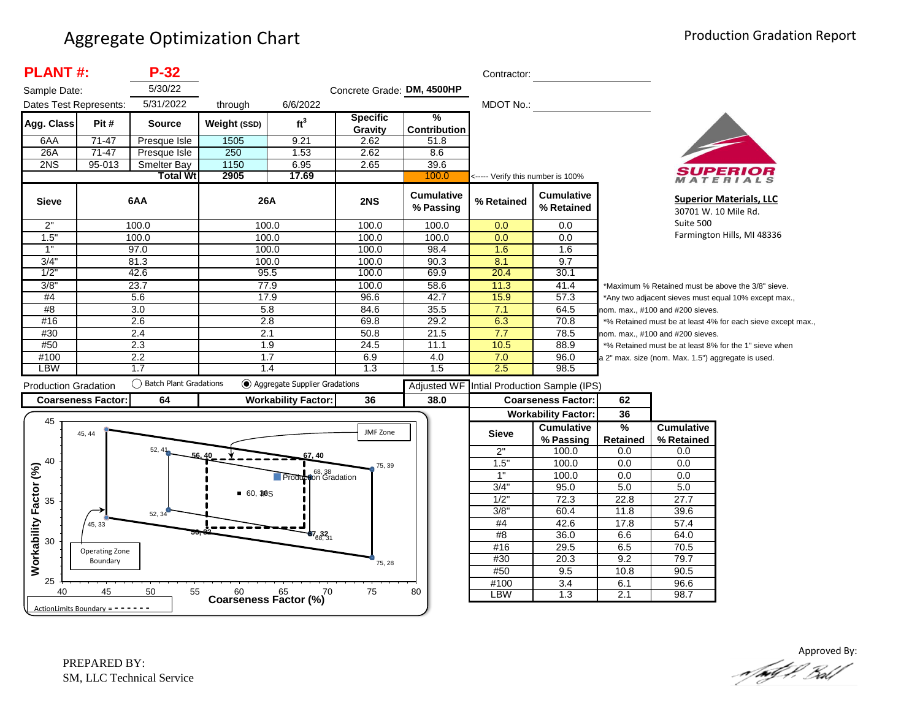| <b>PLANT#:</b>               |                                   | $P-32$                   |                |                                           |                            |                                | Contractor:                       |                                 |                                                                                                 |                                                    |                                                        |
|------------------------------|-----------------------------------|--------------------------|----------------|-------------------------------------------|----------------------------|--------------------------------|-----------------------------------|---------------------------------|-------------------------------------------------------------------------------------------------|----------------------------------------------------|--------------------------------------------------------|
| Sample Date:                 |                                   | 5/30/22                  |                |                                           | Concrete Grade: DM, 4500HP |                                |                                   |                                 |                                                                                                 |                                                    |                                                        |
| Dates Test Represents:       |                                   | 5/31/2022                | through        | 6/6/2022                                  |                            |                                | <b>MDOT No.:</b>                  |                                 |                                                                                                 |                                                    |                                                        |
| Agg. Class                   | Pit#                              | <b>Source</b>            | Weight (SSD)   | ft <sup>3</sup>                           | <b>Specific</b><br>Gravity | %<br><b>Contribution</b>       |                                   |                                 |                                                                                                 |                                                    |                                                        |
| 6AA                          | 71-47                             | Presque Isle             | 1505           | 9.21                                      | 2.62                       | 51.8                           |                                   |                                 |                                                                                                 |                                                    |                                                        |
| 26A                          | $71-47$                           | Presque Isle             | 250            | 1.53                                      | 2.62                       | 8.6                            |                                   |                                 |                                                                                                 |                                                    |                                                        |
| 2NS                          | $95 - 013$                        | <b>Smelter Bay</b>       | 1150           | 6.95                                      | 2.65                       | 39.6                           |                                   |                                 |                                                                                                 |                                                    |                                                        |
|                              |                                   | <b>Total Wt</b>          | 2905           | 17.69                                     |                            | 100.0                          | <----- Verify this number is 100% |                                 |                                                                                                 |                                                    |                                                        |
| <b>Sieve</b>                 |                                   | 6AA                      | 26A            |                                           | 2NS                        | <b>Cumulative</b><br>% Passing | % Retained                        | <b>Cumulative</b><br>% Retained |                                                                                                 |                                                    | <b>Superior Materials, LLC</b><br>30701 W. 10 Mile Rd. |
| 2"                           |                                   | 100.0                    |                | 100.0                                     | 100.0                      | 100.0                          | 0.0                               | 0.0                             |                                                                                                 | Suite 500                                          |                                                        |
| 1.5"                         |                                   | 100.0                    | 100.0          |                                           | 100.0                      | 100.0                          | 0.0                               | 0.0                             |                                                                                                 |                                                    | Farmington Hills, MI 48336                             |
| 1"                           |                                   | 97.0                     |                | 100.0                                     | 100.0                      | 98.4                           | 1.6                               | 1.6                             |                                                                                                 |                                                    |                                                        |
| 3/4"                         |                                   | 81.3                     | 100.0          |                                           | 100.0                      | 90.3                           | 8.1                               | 9.7                             |                                                                                                 |                                                    |                                                        |
| 1/2                          |                                   | 42.6                     |                | 95.5                                      | 100.0                      | 69.9                           | 20.4                              | 30.1                            |                                                                                                 |                                                    |                                                        |
| 3/8"                         |                                   | 23.7                     |                | 77.9                                      | 100.0                      | 58.6                           | 11.3                              | 41.4                            |                                                                                                 |                                                    | *Maximum % Retained must be above the 3/8" sieve.      |
| #4                           |                                   | 5.6                      | 17.9           |                                           | 96.6                       | 42.7                           | 15.9                              | 57.3                            |                                                                                                 |                                                    | *Any two adjacent sieves must equal 10% except max.,   |
| #8                           |                                   | $\overline{3.0}$         | 5.8            |                                           | 84.6                       | 35.5                           | 7.1                               | 64.5                            |                                                                                                 |                                                    |                                                        |
| #16                          |                                   | 2.6                      | 2.8            |                                           | 69.8                       | 29.2                           | 6.3                               | 70.8                            | nom. max., #100 and #200 sieves.<br>*% Retained must be at least 4% for each sieve except max., |                                                    |                                                        |
| #30                          |                                   | 2.4                      | 2.1            |                                           | 50.8                       | 21.5                           | 7.7                               | 78.5                            |                                                                                                 | nom. max., #100 and #200 sieves.                   |                                                        |
| #50                          |                                   | 2.3                      | 1.9            |                                           | 24.5                       | 11.1                           | 10.5                              | 88.9                            |                                                                                                 |                                                    | *% Retained must be at least 8% for the 1" sieve when  |
| #100                         |                                   | 2.2                      | 1.7            |                                           | 6.9                        | 4.0                            | 7.0                               | 96.0                            |                                                                                                 | a 2" max. size (nom. Max. 1.5") aggregate is used. |                                                        |
| <b>LBW</b>                   |                                   | 1.7                      |                | 1.4                                       | 1.3                        | 1.5                            | 2.5                               | 98.5                            |                                                                                                 |                                                    |                                                        |
| <b>Production Gradation</b>  |                                   | ◯ Batch Plant Gradations |                | Aggregate Supplier Gradations             |                            | <b>Adjusted WF</b>             |                                   | Intial Production Sample (IPS)  |                                                                                                 |                                                    |                                                        |
|                              | <b>Coarseness Factor:</b>         | 64                       |                | <b>Workability Factor:</b>                | 36                         | 38.0                           |                                   | <b>Coarseness Factor:</b>       | 62                                                                                              |                                                    |                                                        |
|                              |                                   |                          |                |                                           |                            |                                |                                   | <b>Workability Factor:</b>      | 36                                                                                              |                                                    |                                                        |
| 45                           |                                   |                          |                |                                           |                            |                                |                                   | <b>Cumulative</b>               | %                                                                                               | <b>Cumulative</b>                                  |                                                        |
|                              | 45, 44                            |                          |                |                                           | JMF Zone                   |                                | <b>Sieve</b>                      | % Passing                       | Retained                                                                                        | % Retained                                         |                                                        |
|                              |                                   | 52, 41<br>F.G            |                | i7, 40                                    |                            |                                | 2"                                | 100.0                           | 0.0                                                                                             | 0.0                                                |                                                        |
| 40                           |                                   |                          |                |                                           | 75, 39                     |                                | 1.5"                              | 100.0                           | 0.0                                                                                             | 0.0                                                |                                                        |
|                              |                                   |                          |                | <sup>68, 38</sup><br>Production Gradation |                            |                                | 1"                                | 100.0                           | 0.0                                                                                             | 0.0                                                |                                                        |
|                              |                                   |                          |                |                                           |                            |                                | 3/4"                              | 95.0                            | 5.0                                                                                             | 5.0                                                |                                                        |
| 35                           |                                   |                          | <b>60, 3BS</b> |                                           |                            |                                | $1/2$ "                           | 72.3                            | 22.8                                                                                            | 27.7                                               |                                                        |
|                              |                                   | 52, 34                   |                |                                           |                            |                                | $3/8$ "                           | 60.4                            | 11.8                                                                                            | 39.6                                               |                                                        |
|                              | 45, 33                            |                          |                |                                           |                            |                                | #4                                | 42.6                            | 17.8                                                                                            | 57.4                                               |                                                        |
| Workability Factor (%)<br>30 |                                   |                          |                | $67_{68,31}$                              |                            |                                | #8                                | 36.0                            | 6.6                                                                                             | 64.0                                               |                                                        |
|                              | Operating Zone                    |                          |                |                                           |                            |                                | #16                               | 29.5                            | 6.5                                                                                             | 70.5                                               |                                                        |
|                              | Boundary                          |                          |                |                                           | 75, 28                     |                                | #30                               | 20.3                            | 9.2                                                                                             | 79.7                                               |                                                        |
|                              |                                   |                          |                |                                           |                            |                                | #50                               | 9.5                             | 10.8                                                                                            | 90.5                                               |                                                        |
| 25                           |                                   |                          |                |                                           |                            |                                | #100                              | 3.4                             | 6.1                                                                                             | 96.6                                               |                                                        |
| 40                           | 45                                | 50<br>55                 |                | Coarseness Factor $\binom{60}{6}$ 70      | 75                         | 80                             | LBW                               | 1.3                             | 2.1                                                                                             | 98.7                                               |                                                        |
|                              | ActionLimits Boundary = - - - - - |                          |                |                                           |                            |                                |                                   |                                 |                                                                                                 |                                                    |                                                        |

Approved By: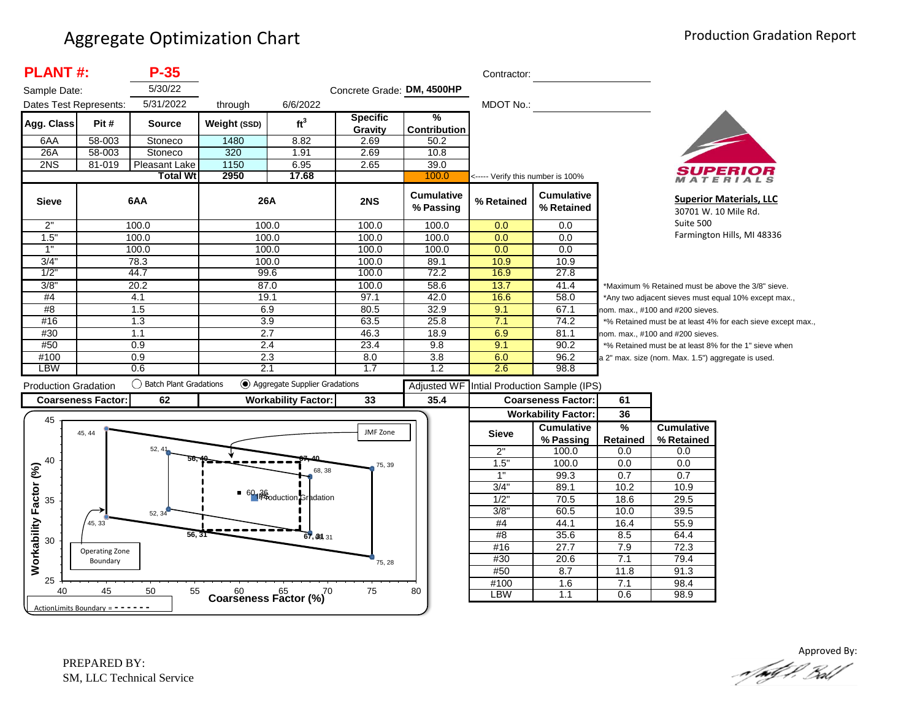| <b>PLANT#:</b>                      |                                   | $P-35$                    |              |                                         |                            |                                | Contractor:                       |                                 |                                                                                                 |                                                    |                                                        |  |
|-------------------------------------|-----------------------------------|---------------------------|--------------|-----------------------------------------|----------------------------|--------------------------------|-----------------------------------|---------------------------------|-------------------------------------------------------------------------------------------------|----------------------------------------------------|--------------------------------------------------------|--|
| Sample Date:                        |                                   | 5/30/22                   |              |                                         | Concrete Grade: DM, 4500HP |                                |                                   |                                 |                                                                                                 |                                                    |                                                        |  |
| Dates Test Represents:              |                                   | 5/31/2022                 | through      | 6/6/2022                                |                            |                                | <b>MDOT No.:</b>                  |                                 |                                                                                                 |                                                    |                                                        |  |
| Agg. Class                          | Pit#                              | <b>Source</b>             | Weight (SSD) | ft <sup>3</sup>                         | <b>Specific</b><br>Gravity | %<br><b>Contribution</b>       |                                   |                                 |                                                                                                 |                                                    |                                                        |  |
| 6AA                                 | 58-003                            | Stoneco                   | 1480         | 8.82                                    | 2.69                       | 50.2                           |                                   |                                 |                                                                                                 |                                                    |                                                        |  |
| 26A                                 | 58-003                            | Stoneco                   | 320          | 1.91                                    | 2.69                       | 10.8                           |                                   |                                 |                                                                                                 |                                                    |                                                        |  |
| 2NS                                 | 81-019                            | Pleasant Lake             | 1150         | 6.95                                    | 2.65                       | 39.0                           |                                   |                                 |                                                                                                 |                                                    |                                                        |  |
|                                     |                                   | <b>Total Wt</b>           | 2950         | 17.68                                   |                            | 100.0                          | <----- Verify this number is 100% |                                 |                                                                                                 |                                                    | ATERIALS                                               |  |
| <b>Sieve</b>                        |                                   | 6AA                       | 26A          |                                         | 2NS                        | <b>Cumulative</b><br>% Passing | % Retained                        | <b>Cumulative</b><br>% Retained |                                                                                                 | Suite 500                                          | <b>Superior Materials, LLC</b><br>30701 W. 10 Mile Rd. |  |
| 2"                                  |                                   | 100.0                     |              | 100.0                                   | 100.0                      | 100.0                          | 0.0                               | 0.0                             |                                                                                                 |                                                    |                                                        |  |
| 1.5"                                |                                   | 100.0                     | 100.0        |                                         | 100.0                      | 100.0                          | 0.0                               | 0.0                             |                                                                                                 | Farmington Hills, MI 48336                         |                                                        |  |
| 1"                                  |                                   | 100.0                     | 100.0        |                                         | 100.0                      | 100.0                          | 0.0                               | 0.0                             |                                                                                                 |                                                    |                                                        |  |
| 3/4"                                |                                   | 78.3                      | 100.0        |                                         | 100.0                      | 89.1                           | 10.9                              | 10.9                            |                                                                                                 |                                                    |                                                        |  |
| 1/2"                                |                                   | 44.7                      |              | 99.6                                    | 100.0                      | 72.2                           | 16.9                              | 27.8                            |                                                                                                 |                                                    |                                                        |  |
| 3/8"                                |                                   | 20.2                      |              | 87.0                                    | 100.0                      | 58.6                           | 13.7                              | 41.4                            |                                                                                                 | *Maximum % Retained must be above the 3/8" sieve.  |                                                        |  |
| #4                                  |                                   | 4.1                       | 19.1         |                                         | 97.1                       | 42.0                           | 16.6                              | 58.0                            | *Any two adjacent sieves must equal 10% except max.,                                            |                                                    |                                                        |  |
| #8                                  |                                   | 1.5                       | 6.9          |                                         | 80.5                       | 32.9                           | 9.1                               | 67.1                            | nom. max., #100 and #200 sieves.<br>*% Retained must be at least 4% for each sieve except max., |                                                    |                                                        |  |
| #16                                 |                                   | 1.3                       | 3.9          |                                         | 63.5                       | 25.8                           | 7.1                               | 74.2                            |                                                                                                 |                                                    |                                                        |  |
| #30                                 |                                   | 1.1                       | 2.7          |                                         | 46.3                       | 18.9                           | 6.9                               | 81.1                            |                                                                                                 | nom. max., #100 and #200 sieves.                   |                                                        |  |
| #50                                 |                                   | 0.9                       |              | 2.4                                     | 23.4                       | 9.8                            | 9.1                               | 90.2                            |                                                                                                 |                                                    | *% Retained must be at least 8% for the 1" sieve when  |  |
| #100                                |                                   | 0.9                       |              | 2.3                                     | 8.0                        | 3.8                            | 6.0                               | 96.2                            |                                                                                                 | a 2" max. size (nom. Max. 1.5") aggregate is used. |                                                        |  |
| <b>LBW</b>                          |                                   | 0.6                       | 2.1          |                                         | 1.7                        | 1.2                            | 2.6                               | 98.8                            |                                                                                                 |                                                    |                                                        |  |
| <b>Production Gradation</b>         |                                   | () Batch Plant Gradations |              | Aggregate Supplier Gradations           |                            | <b>Adjusted WF</b>             |                                   | Intial Production Sample (IPS)  |                                                                                                 |                                                    |                                                        |  |
|                                     | <b>Coarseness Factor:</b>         | 62                        |              | <b>Workability Factor:</b>              | 33                         | 35.4                           |                                   | <b>Coarseness Factor:</b>       | 61                                                                                              |                                                    |                                                        |  |
|                                     |                                   |                           |              |                                         |                            |                                |                                   | <b>Workability Factor:</b>      | 36                                                                                              |                                                    |                                                        |  |
| 45                                  |                                   |                           |              |                                         |                            |                                |                                   | <b>Cumulative</b>               | %                                                                                               | <b>Cumulative</b>                                  |                                                        |  |
|                                     | 45, 44                            |                           |              |                                         | JMF Zone                   |                                | <b>Sieve</b>                      | % Passing                       | <b>Retained</b>                                                                                 | % Retained                                         |                                                        |  |
|                                     |                                   | 52.4 <sup>°</sup>         |              |                                         |                            |                                | 2"                                | 100.0                           | 0.0                                                                                             | 0.0                                                |                                                        |  |
| 40                                  |                                   |                           |              |                                         | 75, 39                     |                                | 1.5                               | 100.0                           | 0.0                                                                                             | 0.0                                                |                                                        |  |
|                                     |                                   |                           |              | 68, 38                                  |                            |                                | 1"                                | 99.3                            | 0.7                                                                                             | 0.7                                                |                                                        |  |
|                                     |                                   |                           |              |                                         |                            |                                | 3/4"                              | 89.1                            | 10.2                                                                                            | 10.9                                               |                                                        |  |
| <b>Norkability Factor (%)</b><br>35 |                                   |                           |              | 60 <sub>1</sub> 36 duction Gradation    |                            |                                | 1/2"                              | 70.5                            | 18.6                                                                                            | 29.5                                               |                                                        |  |
|                                     |                                   | 52, 34                    |              |                                         |                            |                                | 3/8"                              | 60.5                            | 10.0                                                                                            | 39.5                                               |                                                        |  |
|                                     | 45, 33                            |                           |              |                                         |                            |                                | #4                                | 44.1                            | 16.4                                                                                            | 55.9                                               |                                                        |  |
|                                     |                                   | 56, 31                    |              | 67, 68, 31                              |                            |                                | #8                                | 35.6                            | 8.5                                                                                             | 64.4                                               |                                                        |  |
| 30                                  |                                   |                           |              |                                         |                            |                                | #16                               | 27.7                            | 7.9                                                                                             | 72.3                                               |                                                        |  |
|                                     | Operating Zone<br>Boundary        |                           |              |                                         |                            |                                | #30                               | 20.6                            | 7.1                                                                                             | 79.4                                               |                                                        |  |
|                                     |                                   |                           |              |                                         | 75, 28                     |                                | #50                               | 8.7                             | 11.8                                                                                            | 91.3                                               |                                                        |  |
| 25                                  |                                   |                           |              |                                         |                            |                                | #100                              | 1.6                             | 7.1                                                                                             | 98.4                                               |                                                        |  |
| 40                                  | 45                                | 50<br>55                  |              | $60$ $65$ $70$<br>Coarseness Factor (%) | 75                         | 80                             | <b>LBW</b>                        | 1.1                             | 0.6                                                                                             | 98.9                                               |                                                        |  |
|                                     | ActionLimits Boundary = - - - - - |                           |              |                                         |                            |                                |                                   |                                 |                                                                                                 |                                                    |                                                        |  |

Approved By:<br>Approved By: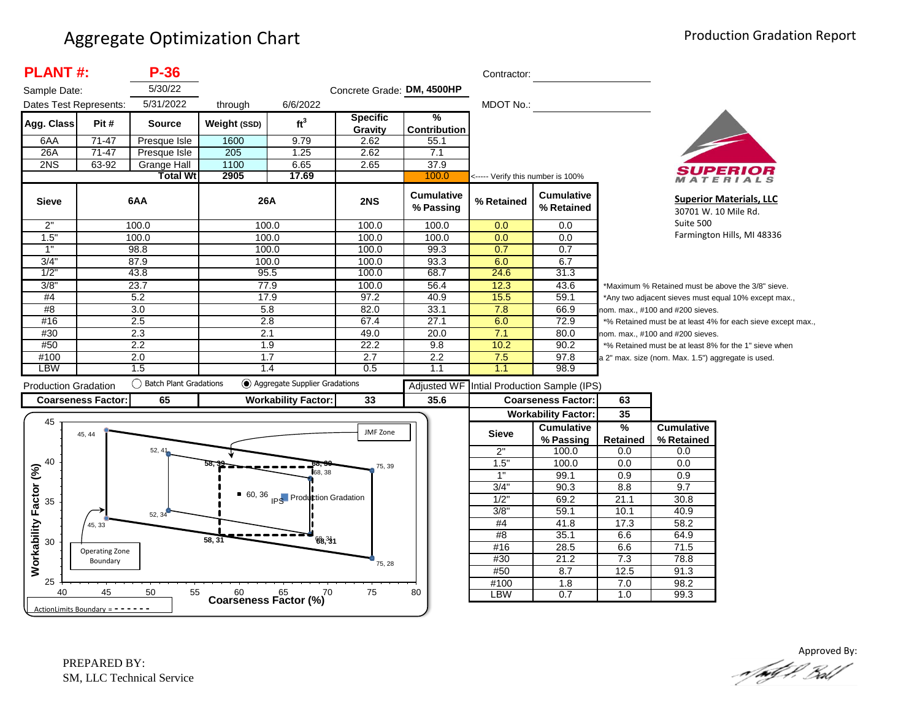| <b>PLANT#:</b>              |                            | P-36                   |                                      |                                 |                            |                                | Contractor:                       |                                            |                                                                                                                                     |                                                      |                                                       |
|-----------------------------|----------------------------|------------------------|--------------------------------------|---------------------------------|----------------------------|--------------------------------|-----------------------------------|--------------------------------------------|-------------------------------------------------------------------------------------------------------------------------------------|------------------------------------------------------|-------------------------------------------------------|
| Sample Date:                |                            | 5/30/22                |                                      |                                 | Concrete Grade: DM, 4500HP |                                |                                   |                                            |                                                                                                                                     |                                                      |                                                       |
| Dates Test Represents:      |                            | 5/31/2022              | through                              | 6/6/2022                        |                            |                                | <b>MDOT No.:</b>                  |                                            |                                                                                                                                     |                                                      |                                                       |
| Agg. Class                  | Pit#                       | <b>Source</b>          | Weight (SSD)                         | ft <sup>3</sup>                 | <b>Specific</b><br>Gravity | %<br><b>Contribution</b>       |                                   |                                            |                                                                                                                                     |                                                      |                                                       |
| 6AA                         | $71 - 47$                  | Presque Isle           | 1600                                 | 9.79                            | 2.62                       | 55.1                           |                                   |                                            |                                                                                                                                     |                                                      |                                                       |
| 26A                         | $71-47$                    | Presque Isle           | 205                                  | 1.25                            | 2.62                       | 7.1                            |                                   |                                            |                                                                                                                                     |                                                      |                                                       |
| 2NS                         | 63-92                      | Grange Hall            | 1100                                 | 6.65                            | 2.65                       | 37.9                           |                                   |                                            |                                                                                                                                     |                                                      |                                                       |
|                             |                            | <b>Total Wt</b>        | 2905                                 | 17.69                           |                            | 100.0                          | <----- Verify this number is 100% |                                            |                                                                                                                                     |                                                      | ATERIALS                                              |
| <b>Sieve</b>                |                            | 6AA                    | 26A                                  |                                 | 2NS                        | <b>Cumulative</b><br>% Passing | % Retained                        | <b>Cumulative</b><br>% Retained            |                                                                                                                                     | 30701 W. 10 Mile Rd.                                 | <b>Superior Materials, LLC</b>                        |
| 2"                          |                            | 100.0                  | 100.0                                |                                 | 100.0                      | 100.0                          | 0.0                               | 0.0                                        | Suite 500                                                                                                                           |                                                      |                                                       |
| 1.5"                        |                            | 100.0                  |                                      | 100.0                           | 100.0                      | 100.0                          | 0.0                               | 0.0                                        |                                                                                                                                     | Farmington Hills, MI 48336                           |                                                       |
| 1"                          |                            | 98.8                   | 100.0                                |                                 | 100.0                      | 99.3                           | 0.7                               | 0.7                                        |                                                                                                                                     |                                                      |                                                       |
| 3/4"                        |                            | 87.9                   | 100.0                                |                                 | 100.0                      | 93.3                           | 6.0                               | 6.7                                        |                                                                                                                                     |                                                      |                                                       |
| 1/2                         |                            | 43.8                   | 95.5                                 |                                 | 100.0                      | 68.7                           | 24.6                              | 31.3                                       |                                                                                                                                     |                                                      |                                                       |
| 3/8"                        |                            | 23.7                   |                                      | 77.9                            | 100.0                      | 56.4                           | 12.3                              | 43.6                                       |                                                                                                                                     | *Maximum % Retained must be above the 3/8" sieve.    |                                                       |
| #4                          |                            | 5.2                    | 17.9                                 |                                 | 97.2                       | 40.9                           | 15.5                              | 59.1                                       |                                                                                                                                     | *Any two adjacent sieves must equal 10% except max., |                                                       |
| #8                          |                            | 3.0                    | 5.8                                  |                                 | 82.0                       | 33.1                           | 7.8                               | 66.9                                       | nom. max., #100 and #200 sieves.<br>*% Retained must be at least 4% for each sieve except max.,<br>nom. max., #100 and #200 sieves. |                                                      |                                                       |
| #16                         |                            | 2.5                    | 2.8                                  |                                 | 67.4                       | 27.1                           | 6.0                               | 72.9                                       |                                                                                                                                     |                                                      |                                                       |
| #30                         |                            | 2.3                    | 2.1                                  |                                 | 49.0                       | 20.0                           | 7.1                               | 80.0                                       |                                                                                                                                     |                                                      |                                                       |
| #50                         |                            | 2.2                    | 1.9                                  |                                 | 22.2                       | 9.8                            | 10.2                              | 90.2                                       |                                                                                                                                     |                                                      | *% Retained must be at least 8% for the 1" sieve when |
| #100                        |                            | 2.0                    | 1.7                                  |                                 | 2.7                        | 2.2                            | 7.5                               | 97.8                                       |                                                                                                                                     | a 2" max. size (nom. Max. 1.5") aggregate is used.   |                                                       |
| LBW                         |                            | 1.5                    | 1.4                                  |                                 | 0.5                        | 1.1                            | 1.1                               | 98.9                                       |                                                                                                                                     |                                                      |                                                       |
| <b>Production Gradation</b> |                            | Batch Plant Gradations |                                      | ◯ Aggregate Supplier Gradations |                            |                                |                                   | Adjusted WF Intial Production Sample (IPS) |                                                                                                                                     |                                                      |                                                       |
| <b>Coarseness Factor:</b>   |                            | 65                     |                                      | <b>Workability Factor:</b>      | 33                         | 35.6                           |                                   | <b>Coarseness Factor:</b>                  | 63                                                                                                                                  |                                                      |                                                       |
|                             |                            |                        |                                      |                                 |                            |                                |                                   | <b>Workability Factor:</b>                 | 35                                                                                                                                  |                                                      |                                                       |
| 45                          |                            |                        |                                      |                                 |                            |                                |                                   |                                            |                                                                                                                                     |                                                      |                                                       |
|                             |                            |                        |                                      |                                 |                            |                                |                                   | <b>Cumulative</b>                          | $\frac{9}{6}$                                                                                                                       | <b>Cumulative</b>                                    |                                                       |
|                             | 45, 44                     |                        |                                      |                                 | JMF Zone                   |                                | <b>Sieve</b>                      |                                            |                                                                                                                                     |                                                      |                                                       |
|                             |                            | 52, 41                 |                                      |                                 |                            |                                | 2"                                | % Passing<br>100.0                         | <b>Retained</b><br>0.0                                                                                                              | % Retained<br>0.0                                    |                                                       |
| 40                          |                            |                        |                                      |                                 |                            |                                | 1.5"                              | 100.0                                      | 0.0                                                                                                                                 | 0.0                                                  |                                                       |
|                             |                            |                        |                                      | 68.38                           | 75, 39                     |                                | 1"                                | 99.1                                       | 0.9                                                                                                                                 | 0.9                                                  |                                                       |
|                             |                            |                        |                                      |                                 |                            |                                | 3/4"                              | 90.3                                       | 8.8                                                                                                                                 | 9.7                                                  |                                                       |
|                             |                            |                        |                                      |                                 |                            |                                | 1/2"                              | 69.2                                       | 21.1                                                                                                                                | 30.8                                                 |                                                       |
| 35                          |                            |                        |                                      | 60, 36 IPS Production Gradation |                            |                                | $3/8$ "                           | 59.1                                       | 10.1                                                                                                                                | 40.9                                                 |                                                       |
|                             | 45, 33                     | 52, 34                 |                                      |                                 |                            |                                | #4                                | 41.8                                       | 17.3                                                                                                                                | 58.2                                                 |                                                       |
|                             |                            |                        |                                      |                                 |                            |                                | #8                                | 35.1                                       | 6.6                                                                                                                                 | 64.9                                                 |                                                       |
| 30                          |                            |                        | 58, 3'                               | 68.31                           |                            |                                | #16                               | 28.5                                       | 6.6                                                                                                                                 | 71.5                                                 |                                                       |
|                             | Operating Zone<br>Boundary |                        |                                      |                                 |                            |                                | #30                               | 21.2                                       | 7.3                                                                                                                                 | 78.8                                                 |                                                       |
| Workability Factor (%)      |                            |                        |                                      |                                 | 75, 28                     |                                | #50                               | 8.7                                        | 12.5                                                                                                                                | 91.3                                                 |                                                       |
| 25<br>40                    | 45                         | 50<br>55               | $60$ $65$ $65$ Coarseness Factor (%) | ,70                             | 75                         | 80                             | #100<br><b>LBW</b>                | $\overline{1.8}$<br>0.7                    | 7.0<br>1.0                                                                                                                          | 98.2<br>99.3                                         |                                                       |

Approved By: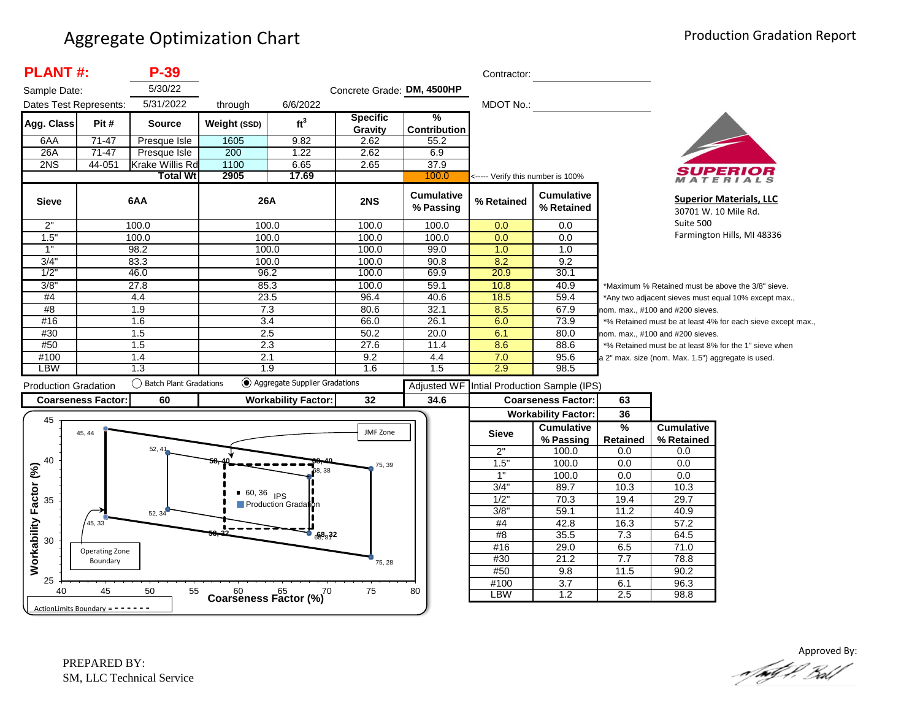| <b>PLANT#:</b>              |                                   | P-39                      |               |                                         |                            |                                | Contractor:                       |                                            |                                  |                                                      |                                                             |
|-----------------------------|-----------------------------------|---------------------------|---------------|-----------------------------------------|----------------------------|--------------------------------|-----------------------------------|--------------------------------------------|----------------------------------|------------------------------------------------------|-------------------------------------------------------------|
| Sample Date:                |                                   | 5/30/22                   |               |                                         | Concrete Grade: DM, 4500HP |                                |                                   |                                            |                                  |                                                      |                                                             |
| Dates Test Represents:      |                                   | 5/31/2022                 | through       | 6/6/2022                                |                            |                                | MDOT No.:                         |                                            |                                  |                                                      |                                                             |
| Agg. Class                  | Pit#                              | <b>Source</b>             | Weight (SSD)  | ft <sup>3</sup>                         | <b>Specific</b><br>Gravity | %<br><b>Contribution</b>       |                                   |                                            |                                  |                                                      |                                                             |
| 6AA                         | $71-47$                           | Presque Isle              | 1605          | 9.82                                    | 2.62                       | 55.2                           |                                   |                                            |                                  |                                                      |                                                             |
| 26A                         | $71 - 47$                         | Presque Isle              | 200           | 1.22                                    | 2.62                       | 6.9                            |                                   |                                            |                                  |                                                      |                                                             |
| 2NS                         | 44-051                            | Krake Willis Rd           | 1100          | 6.65                                    | 2.65                       | 37.9                           |                                   |                                            |                                  |                                                      |                                                             |
|                             |                                   | <b>Total Wt</b>           | 2905          | 17.69                                   |                            | 100.0                          | <----- Verify this number is 100% |                                            |                                  |                                                      | ATERIALS                                                    |
| <b>Sieve</b>                |                                   | 6AA                       | <b>26A</b>    |                                         | 2NS                        | <b>Cumulative</b><br>% Passing | % Retained                        | <b>Cumulative</b><br>% Retained            |                                  |                                                      | <b>Superior Materials, LLC</b><br>30701 W. 10 Mile Rd.      |
| 2"                          |                                   | 100.0                     | 100.0         |                                         | 100.0                      | 100.0                          | 0.0                               | 0.0                                        |                                  | Suite 500                                            |                                                             |
| 1.5"                        |                                   | 100.0                     | 100.0         |                                         | 100.0                      | 100.0                          | 0.0                               | 0.0                                        |                                  |                                                      | Farmington Hills, MI 48336                                  |
| 1"                          |                                   | 98.2                      | 100.0         |                                         | 100.0                      | 99.0                           | 1.0                               | 1.0                                        |                                  |                                                      |                                                             |
| 3/4"                        |                                   | 83.3                      | 100.0         |                                         | 100.0                      | 90.8                           | 8.2                               | 9.2                                        |                                  |                                                      |                                                             |
| 1/2                         |                                   | 46.0                      | 96.2          |                                         | 100.0                      | 69.9                           | 20.9                              | 30.1                                       |                                  |                                                      |                                                             |
| 3/8"                        |                                   | 27.8                      | 85.3          |                                         | 100.0                      | 59.1                           | 10.8                              | 40.9                                       |                                  |                                                      | *Maximum % Retained must be above the 3/8" sieve.           |
| #4                          |                                   | 4.4                       | 23.5          |                                         | 96.4                       | 40.6                           | 18.5                              | 59.4                                       |                                  | *Any two adjacent sieves must equal 10% except max., |                                                             |
| #8                          |                                   | 1.9                       | 7.3           |                                         | 80.6                       | 32.1                           | 8.5                               | 67.9                                       | nom. max., #100 and #200 sieves. |                                                      |                                                             |
| #16                         |                                   | 1.6                       | 3.4           |                                         | 66.0                       | 26.1                           | 6.0                               | 73.9                                       |                                  |                                                      | *% Retained must be at least 4% for each sieve except max., |
| #30                         |                                   | 1.5                       | 2.5           |                                         | 50.2                       | 20.0                           | 6.1                               | 80.0                                       |                                  | nom. max., #100 and #200 sieves.                     |                                                             |
| #50                         |                                   | 1.5                       | 2.3           |                                         | 27.6                       | 11.4                           | 8.6                               | 88.6                                       |                                  |                                                      | *% Retained must be at least 8% for the 1" sieve when       |
| #100                        |                                   | 1.4                       | 2.1           |                                         | 9.2                        | 4.4                            | 7.0                               | 95.6                                       |                                  | a 2" max. size (nom. Max. 1.5") aggregate is used.   |                                                             |
| <b>LBW</b>                  |                                   | 1.3                       | 1.9           |                                         | 1.6                        | 1.5                            | 2.9                               | 98.5                                       |                                  |                                                      |                                                             |
| <b>Production Gradation</b> |                                   | () Batch Plant Gradations |               | (c) Aggregate Supplier Gradations       |                            |                                |                                   | Adjusted WF Intial Production Sample (IPS) |                                  |                                                      |                                                             |
|                             | <b>Coarseness Factor:</b>         | 60                        |               | <b>Workability Factor:</b>              | 32                         | 34.6                           |                                   | <b>Coarseness Factor:</b>                  | 63                               |                                                      |                                                             |
|                             |                                   |                           |               |                                         |                            |                                |                                   | <b>Workability Factor:</b>                 | 36                               |                                                      |                                                             |
| 45                          |                                   |                           |               |                                         |                            |                                |                                   | <b>Cumulative</b>                          | %                                | <b>Cumulative</b>                                    |                                                             |
|                             | 45, 44                            |                           |               |                                         | JMF Zone                   |                                | <b>Sieve</b>                      | % Passing                                  | <b>Retained</b>                  | % Retained                                           |                                                             |
|                             |                                   | 52, 41                    |               |                                         |                            |                                | 2"                                | 100.0                                      | 0.0                              | 0.0                                                  |                                                             |
| 40                          |                                   |                           |               |                                         | 75, 39                     |                                | 1.5"                              | 100.0                                      | 0.0                              | 0.0                                                  |                                                             |
|                             |                                   |                           |               | 68.38                                   |                            |                                | 1"                                | 100.0                                      | 0.0                              | 0.0                                                  |                                                             |
|                             |                                   |                           |               |                                         |                            |                                | 3/4"                              | 89.7                                       | 10.3                             | 10.3                                                 |                                                             |
| 35                          |                                   |                           | $-60, 36$ IPS |                                         |                            |                                | $1/2$ "                           | 70.3                                       | 19.4                             | 29.7                                                 |                                                             |
|                             |                                   | 52, 34                    |               | Production Gradation                    |                            |                                | 3/8"                              | 59.1                                       | 11.2                             | 40.9                                                 |                                                             |
|                             | 45, 33                            |                           |               |                                         |                            |                                | $\#4$                             | 42.8                                       | 16.3                             | 57.2                                                 |                                                             |
| Workability Factor (%)      |                                   |                           |               | $\bullet$ 68.32                         |                            |                                | #8                                | 35.5                                       | 7.3                              | 64.5                                                 |                                                             |
| 30                          | Operating Zone                    |                           |               |                                         |                            |                                | #16                               | 29.0                                       | 6.5                              | 71.0                                                 |                                                             |
|                             | Boundary                          |                           |               |                                         | 75, 28                     |                                | #30                               | 21.2                                       | 7.7                              | 78.8                                                 |                                                             |
|                             |                                   |                           |               |                                         |                            |                                | #50                               | 9.8                                        | 11.5                             | 90.2                                                 |                                                             |
| 25                          |                                   |                           |               |                                         |                            |                                | #100                              | $\overline{3.7}$                           | 6.1                              | 96.3                                                 |                                                             |
| 40                          | 45                                | 50<br>55                  |               | $60$ $65$ $70$<br>Coarseness Factor (%) | 75                         | 80                             | LBW                               | 1.2                                        | 2.5                              | 98.8                                                 |                                                             |
|                             | ActionLimits Boundary = - - - - - |                           |               |                                         |                            |                                |                                   |                                            |                                  |                                                      |                                                             |

Approved By: